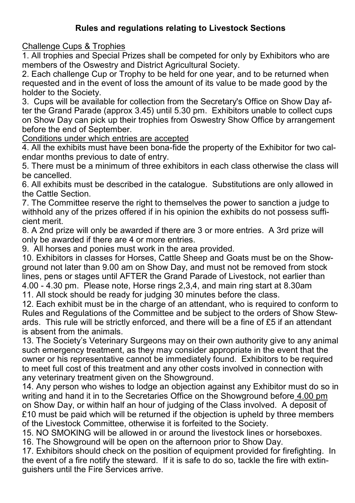## **Rules and regulations relating to Livestock Sections**

### Challenge Cups & Trophies

1. All trophies and Special Prizes shall be competed for only by Exhibitors who are members of the Oswestry and District Agricultural Society.

2. Each challenge Cup or Trophy to be held for one year, and to be returned when requested and in the event of loss the amount of its value to be made good by the holder to the Society.

3. Cups will be available for collection from the Secretary's Office on Show Day after the Grand Parade (approx 3.45) until 5.30 pm. Exhibitors unable to collect cups on Show Day can pick up their trophies from Oswestry Show Office by arrangement before the end of September.

Conditions under which entries are accepted

4. All the exhibits must have been bona-fide the property of the Exhibitor for two calendar months previous to date of entry.

5. There must be a minimum of three exhibitors in each class otherwise the class will be cancelled.

6. All exhibits must be described in the catalogue. Substitutions are only allowed in the Cattle Section.

7. The Committee reserve the right to themselves the power to sanction a judge to withhold any of the prizes offered if in his opinion the exhibits do not possess sufficient merit.

8. A 2nd prize will only be awarded if there are 3 or more entries. A 3rd prize will only be awarded if there are 4 or more entries.

9. All horses and ponies must work in the area provided.

10. Exhibitors in classes for Horses, Cattle Sheep and Goats must be on the Showground not later than 9.00 am on Show Day, and must not be removed from stock lines, pens or stages until AFTER the Grand Parade of Livestock, not earlier than 4.00 - 4.30 pm. Please note, Horse rings 2,3,4, and main ring start at 8.30am 11. All stock should be ready for judging 30 minutes before the class.

12. Each exhibit must be in the charge of an attendant, who is required to conform to Rules and Regulations of the Committee and be subject to the orders of Show Stewards. This rule will be strictly enforced, and there will be a fine of £5 if an attendant is absent from the animals.

13. The Society's Veterinary Surgeons may on their own authority give to any animal such emergency treatment, as they may consider appropriate in the event that the owner or his representative cannot be immediately found. Exhibitors to be required to meet full cost of this treatment and any other costs involved in connection with any veterinary treatment given on the Showground.

14. Any person who wishes to lodge an objection against any Exhibitor must do so in writing and hand it in to the Secretaries Office on the Showground before 4.00 pm on Show Day, or within half an hour of judging of the Class involved. A deposit of £10 must be paid which will be returned if the objection is upheld by three members of the Livestock Committee, otherwise it is forfeited to the Society.

15. NO SMOKING will be allowed in or around the livestock lines or horseboxes.

16. The Showground will be open on the afternoon prior to Show Day.

17. Exhibitors should check on the position of equipment provided for firefighting. In the event of a fire notify the steward. If it is safe to do so, tackle the fire with extinguishers until the Fire Services arrive.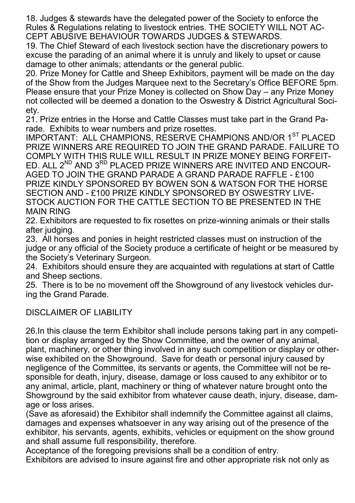18. Judges & stewards have the delegated power of the Society to enforce the Rules & Regulations relating to livestock entries. THE SOCIETY WILL NOT AC-CEPT ABUSIVE BEHAVIOUR TOWARDS JUDGES & STEWARDS.

19. The Chief Steward of each livestock section have the discretionary powers to excuse the parading of an animal where it is unruly and likely to upset or cause damage to other animals; attendants or the general public.

20. Prize Money for Cattle and Sheep Exhibitors, payment will be made on the day of the Show from the Judges Marquee next to the Secretary's Office BEFORE 5pm. Please ensure that your Prize Money is collected on Show Day – any Prize Money not collected will be deemed a donation to the Oswestry & District Agricultural Society.

21. Prize entries in the Horse and Cattle Classes must take part in the Grand Parade. Exhibits to wear numbers and prize rosettes.

IMPORTANT: ALL CHAMPIONS, RESERVE CHAMPIONS AND/OR 1<sup>ST</sup> PLACED PRIZE WINNERS ARE REQUIRED TO JOIN THE GRAND PARADE. FAILURE TO COMPLY WITH THIS RULE WILL RESULT IN PRIZE MONEY BEING FORFEIT-ED. ALL 2<sup>ND</sup> AND 3<sup>RD</sup> PLACED PRIZE WINNERS ARE INVITED AND ENCOUR-AGED TO JOIN THE GRAND PARADE A GRAND PARADE RAFFLE - £100 PRIZE KINDLY SPONSORED BY BOWEN SON & WATSON FOR THE HORSE SECTION AND - £100 PRIZE KINDLY SPONSORED BY OSWESTRY LIVE-STOCK AUCTION FOR THE CATTLE SECTION TO BE PRESENTED IN THE MAIN RING

22. Exhibitors are requested to fix rosettes on prize-winning animals or their stalls after judging.

23. All horses and ponies in height restricted classes must on instruction of the judge or any official of the Society produce a certificate of height or be measured by the Society's Veterinary Surgeon.

24. Exhibitors should ensure they are acquainted with regulations at start of Cattle and Sheep sections.

25. There is to be no movement off the Showground of any livestock vehicles during the Grand Parade.

DISCLAIMER OF LIABILITY

26.In this clause the term Exhibitor shall include persons taking part in any competition or display arranged by the Show Committee, and the owner of any animal, plant, machinery, or other thing involved in any such competition or display or otherwise exhibited on the Showground. Save for death or personal injury caused by negligence of the Committee, its servants or agents, the Committee will not be responsible for death, injury, disease, damage or loss caused to any exhibitor or to any animal, article, plant, machinery or thing of whatever nature brought onto the Showground by the said exhibitor from whatever cause death, injury, disease, damage or loss arises.

(Save as aforesaid) the Exhibitor shall indemnify the Committee against all claims, damages and expenses whatsoever in any way arising out of the presence of the exhibitor, his servants, agents, exhibits, vehicles or equipment on the show ground and shall assume full responsibility, therefore.

Acceptance of the foregoing previsions shall be a condition of entry. Exhibitors are advised to insure against fire and other appropriate risk not only as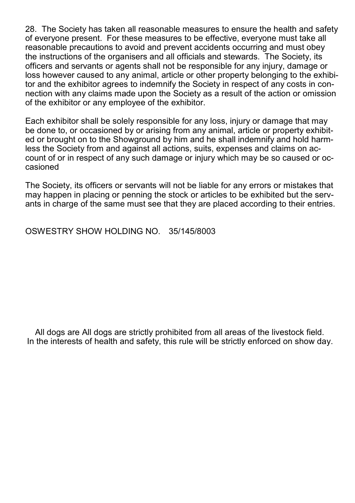28. The Society has taken all reasonable measures to ensure the health and safety of everyone present. For these measures to be effective, everyone must take all reasonable precautions to avoid and prevent accidents occurring and must obey the instructions of the organisers and all officials and stewards. The Society, its officers and servants or agents shall not be responsible for any injury, damage or loss however caused to any animal, article or other property belonging to the exhibitor and the exhibitor agrees to indemnify the Society in respect of any costs in connection with any claims made upon the Society as a result of the action or omission of the exhibitor or any employee of the exhibitor.

Each exhibitor shall be solely responsible for any loss, injury or damage that may be done to, or occasioned by or arising from any animal, article or property exhibited or brought on to the Showground by him and he shall indemnify and hold harmless the Society from and against all actions, suits, expenses and claims on account of or in respect of any such damage or injury which may be so caused or occasioned

The Society, its officers or servants will not be liable for any errors or mistakes that may happen in placing or penning the stock or articles to be exhibited but the servants in charge of the same must see that they are placed according to their entries.

OSWESTRY SHOW HOLDING NO. 35/145/8003

All dogs are All dogs are strictly prohibited from all areas of the livestock field. In the interests of health and safety, this rule will be strictly enforced on show day.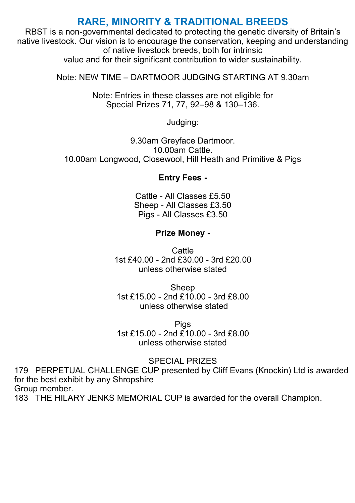## **RARE, MINORITY & TRADITIONAL BREEDS**

RBST is a non-governmental dedicated to protecting the genetic diversity of Britain's native livestock. Our vision is to encourage the conservation, keeping and understanding of native livestock breeds, both for intrinsic value and for their significant contribution to wider sustainability.

Note: NEW TIME – DARTMOOR JUDGING STARTING AT 9.30am

Note: Entries in these classes are not eligible for Special Prizes 71, 77, 92–98 & 130–136.

Judging:

9.30am Greyface Dartmoor. 10.00am Cattle. 10.00am Longwood, Closewool, Hill Heath and Primitive & Pigs

#### **Entry Fees -**

Cattle - All Classes £5.50 Sheep - All Classes £3.50 Pigs - All Classes £3.50

### **Prize Money -**

**Cattle** 1st £40.00 - 2nd £30.00 - 3rd £20.00 unless otherwise stated

Sheep 1st £15.00 - 2nd £10.00 - 3rd £8.00 unless otherwise stated

Pigs 1st £15.00 - 2nd £10.00 - 3rd £8.00 unless otherwise stated

#### SPECIAL PRIZES

179 PERPETUAL CHALLENGE CUP presented by Cliff Evans (Knockin) Ltd is awarded for the best exhibit by any Shropshire Group member.

183 THE HILARY JENKS MEMORIAL CUP is awarded for the overall Champion.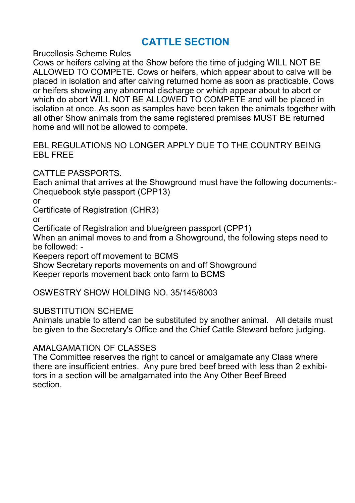# **CATTLE SECTION**

Brucellosis Scheme Rules

Cows or heifers calving at the Show before the time of judging WILL NOT BE ALLOWED TO COMPETE. Cows or heifers, which appear about to calve will be placed in isolation and after calving returned home as soon as practicable. Cows or heifers showing any abnormal discharge or which appear about to abort or which do abort WILL NOT BE ALLOWED TO COMPETE and will be placed in isolation at once. As soon as samples have been taken the animals together with all other Show animals from the same registered premises MUST BE returned home and will not be allowed to compete.

EBL REGULATIONS NO LONGER APPLY DUE TO THE COUNTRY BEING EBL FREE

CATTLE PASSPORTS.

Each animal that arrives at the Showground must have the following documents:- Chequebook style passport (CPP13)

or

Certificate of Registration (CHR3)

or

Certificate of Registration and blue/green passport (CPP1)

When an animal moves to and from a Showground, the following steps need to be followed: -

Keepers report off movement to BCMS

Show Secretary reports movements on and off Showground

Keeper reports movement back onto farm to BCMS

OSWESTRY SHOW HOLDING NO. 35/145/8003

### SUBSTITUTION SCHEME

Animals unable to attend can be substituted by another animal. All details must be given to the Secretary's Office and the Chief Cattle Steward before judging.

#### AMALGAMATION OF CLASSES

The Committee reserves the right to cancel or amalgamate any Class where there are insufficient entries. Any pure bred beef breed with less than 2 exhibitors in a section will be amalgamated into the Any Other Beef Breed section.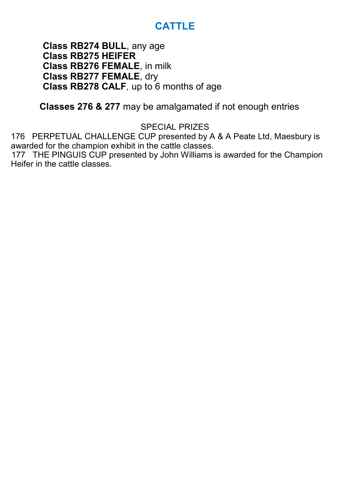# **CATTLE**

**Class RB274 BULL**, any age  **Class RB275 HEIFER Class RB276 FEMALE**, in milk  **Class RB277 FEMALE**, dry  **Class RB278 CALF**, up to 6 months of age

## **Classes 276 & 277** may be amalgamated if not enough entries

SPECIAL PRIZES

176 PERPETUAL CHALLENGE CUP presented by A & A Peate Ltd, Maesbury is awarded for the champion exhibit in the cattle classes.

177 THE PINGUIS CUP presented by John Williams is awarded for the Champion Heifer in the cattle classes.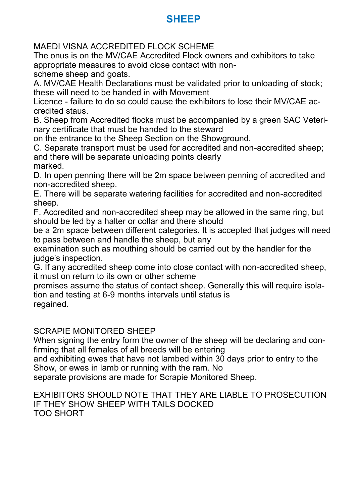## **SHEEP**

MAEDI VISNA ACCREDITED FLOCK SCHEME

The onus is on the MV/CAE Accredited Flock owners and exhibitors to take appropriate measures to avoid close contact with nonscheme sheep and goats.

A. MV/CAE Health Declarations must be validated prior to unloading of stock; these will need to be handed in with Movement

Licence - failure to do so could cause the exhibitors to lose their MV/CAE accredited staus.

B. Sheep from Accredited flocks must be accompanied by a green SAC Veterinary certificate that must be handed to the steward

on the entrance to the Sheep Section on the Showground.

C. Separate transport must be used for accredited and non-accredited sheep; and there will be separate unloading points clearly marked.

D. In open penning there will be 2m space between penning of accredited and non-accredited sheep.

E. There will be separate watering facilities for accredited and non-accredited sheep.

F. Accredited and non-accredited sheep may be allowed in the same ring, but should be led by a halter or collar and there should

be a 2m space between different categories. It is accepted that judges will need to pass between and handle the sheep, but any

examination such as mouthing should be carried out by the handler for the judge's inspection.

G. If any accredited sheep come into close contact with non-accredited sheep, it must on return to its own or other scheme

premises assume the status of contact sheep. Generally this will require isolation and testing at 6-9 months intervals until status is regained.

### SCRAPIE MONITORED SHEEP

When signing the entry form the owner of the sheep will be declaring and confirming that all females of all breeds will be entering

and exhibiting ewes that have not lambed within 30 days prior to entry to the Show, or ewes in lamb or running with the ram. No

separate provisions are made for Scrapie Monitored Sheep.

EXHIBITORS SHOULD NOTE THAT THEY ARE LIABLE TO PROSECUTION IF THEY SHOW SHEEP WITH TAILS DOCKED TOO SHORT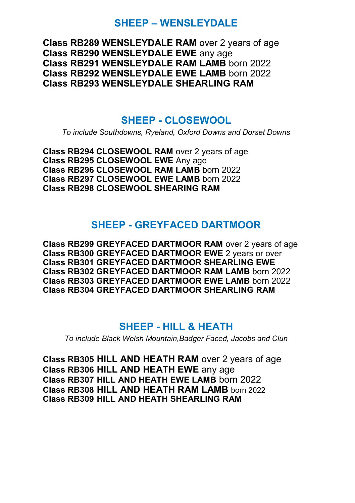## **SHEEP – WENSLEYDALE**

**Class RB289 WENSLEYDALE RAM** over 2 years of age **Class RB290 WENSLEYDALE EWE** any age **Class RB291 WENSLEYDALE RAM LAMB** born 2022 **Class RB292 WENSLEYDALE EWE LAMB** born 2022 **Class RB293 WENSLEYDALE SHEARLING RAM**

## **SHEEP - CLOSEWOOL**

*To include Southdowns, Ryeland, Oxford Downs and Dorset Downs*

**Class RB294 CLOSEWOOL RAM** over 2 years of age **Class RB295 CLOSEWOOL EWE** Any age **Class RB296 CLOSEWOOL RAM LAMB** born 2022 **Class RB297 CLOSEWOOL EWE LAMB** born 2022 **Class RB298 CLOSEWOOL SHEARING RAM**

# **SHEEP - GREYFACED DARTMOOR**

**Class RB299 GREYFACED DARTMOOR RAM** over 2 years of age **Class RB300 GREYFACED DARTMOOR EWE** 2 years or over **Class RB301 GREYFACED DARTMOOR SHEARLING EWE Class RB302 GREYFACED DARTMOOR RAM LAMB** born 2022 **Class RB303 GREYFACED DARTMOOR EWE LAMB** born 2022 **Class RB304 GREYFACED DARTMOOR SHEARLING RAM**

## **SHEEP - HILL & HEATH**

*To include Black Welsh Mountain,Badger Faced, Jacobs and Clun*

**Class RB305 HILL AND HEATH RAM** over 2 years of age **Class RB306 HILL AND HEATH EWE** any age **Class RB307 HILL AND HEATH EWE LAMB** born 2022 **Class RB308 HILL AND HEATH RAM LAMB** born 2022 **Class RB309 HILL AND HEATH SHEARLING RAM**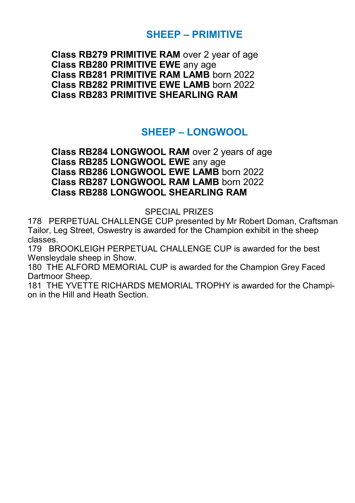# **SHEEP – PRIMITIVE**

**Class RB279 PRIMITIVE RAM** over 2 year of age **Class RB280 PRIMITIVE EWE** any age **Class RB281 PRIMITIVE RAM LAMB** born 2022 **Class RB282 PRIMITIVE EWE LAMB** born 2022 **Class RB283 PRIMITIVE SHEARLING RAM**

# **SHEEP – LONGWOOL**

**Class RB284 LONGWOOL RAM** over 2 years of age **Class RB285 LONGWOOL EWE** any age **Class RB286 LONGWOOL EWE LAMB** born 2022 **Class RB287 LONGWOOL RAM LAMB** born 2022 **Class RB288 LONGWOOL SHEARLING RAM**

SPECIAL PRIZES

178 PERPETUAL CHALLENGE CUP presented by Mr Robert Doman, Craftsman Tailor, Leg Street, Oswestry is awarded for the Champion exhibit in the sheep classes.

179 BROOKLEIGH PERPETUAL CHALLENGE CUP is awarded for the best Wensleydale sheep in Show.

180 THE ALFORD MEMORIAL CUP is awarded for the Champion Grey Faced Dartmoor Sheep.

181 THE YVETTE RICHARDS MEMORIAL TROPHY is awarded for the Champion in the Hill and Heath Section.